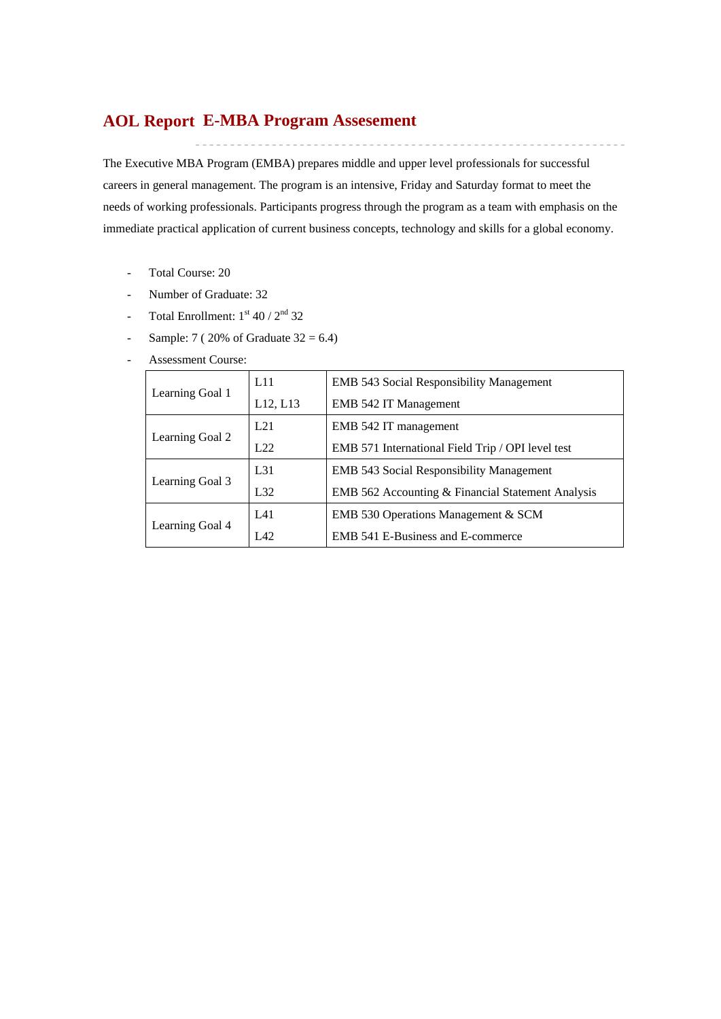# **E-MBA Program Assesement AOL Report**

The Executive MBA Program (EMBA) prepares middle and upper level professionals for successful careers in general management. The program is an intensive, Friday and Saturday format to meet the needs of working professionals. Participants progress through the program as a team with emphasis on the immediate practical application of current business concepts, technology and skills for a global economy.

- Total Course: 20
- Number of Graduate: 32
- Total Enrollment:  $1<sup>st</sup> 40 / 2<sup>nd</sup> 32$
- Sample:  $7 ( 20\% \text{ of } \text{Graduate } 32 = 6.4)$
- Assessment Course:

| Learning Goal 1 | L11             | <b>EMB</b> 543 Social Responsibility Management   |
|-----------------|-----------------|---------------------------------------------------|
|                 | L12, L13        | EMB 542 IT Management                             |
| Learning Goal 2 | L21             | EMB 542 IT management                             |
|                 | 1.22            | EMB 571 International Field Trip / OPI level test |
|                 | L <sub>31</sub> | <b>EMB</b> 543 Social Responsibility Management   |
| Learning Goal 3 | L <sub>32</sub> | EMB 562 Accounting & Financial Statement Analysis |
|                 | IA1             | EMB 530 Operations Management & SCM               |
| Learning Goal 4 | L42             | EMB 541 E-Business and E-commerce                 |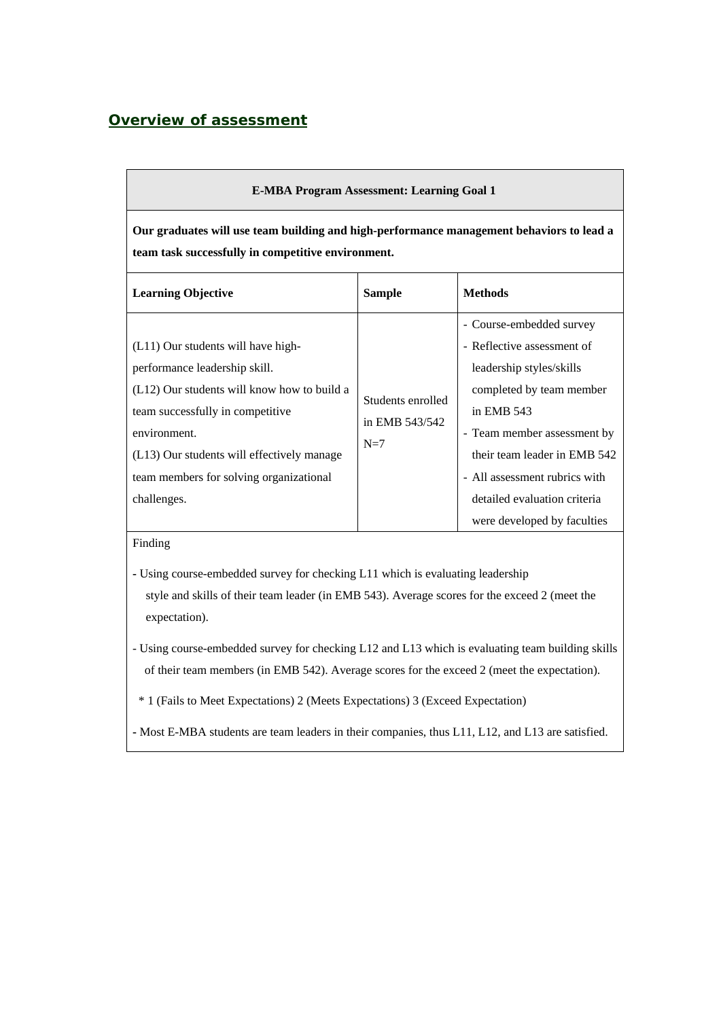## *Overview of assessment*

| <b>E-MBA Program Assessment: Learning Goal 1</b>                                                                                                                                                                                                                               |                                              |                                                                                                                                                                                                                                                                                             |  |  |  |  |  |  |  |
|--------------------------------------------------------------------------------------------------------------------------------------------------------------------------------------------------------------------------------------------------------------------------------|----------------------------------------------|---------------------------------------------------------------------------------------------------------------------------------------------------------------------------------------------------------------------------------------------------------------------------------------------|--|--|--|--|--|--|--|
| Our graduates will use team building and high-performance management behaviors to lead a<br>team task successfully in competitive environment.                                                                                                                                 |                                              |                                                                                                                                                                                                                                                                                             |  |  |  |  |  |  |  |
| <b>Learning Objective</b>                                                                                                                                                                                                                                                      | <b>Sample</b>                                | <b>Methods</b>                                                                                                                                                                                                                                                                              |  |  |  |  |  |  |  |
| (L11) Our students will have high-<br>performance leadership skill.<br>(L12) Our students will know how to build a<br>team successfully in competitive<br>environment.<br>(L13) Our students will effectively manage<br>team members for solving organizational<br>challenges. | Students enrolled<br>in EMB 543/542<br>$N=7$ | - Course-embedded survey<br>- Reflective assessment of<br>leadership styles/skills<br>completed by team member<br>in EMB 543<br>- Team member assessment by<br>their team leader in EMB 542<br>- All assessment rubrics with<br>detailed evaluation criteria<br>were developed by faculties |  |  |  |  |  |  |  |

Finding

- Using course-embedded survey for checking L11 which is evaluating leadership style and skills of their team leader (in EMB 543). Average scores for the exceed 2 (meet the expectation).
- Using course-embedded survey for checking L12 and L13 which is evaluating team building skills of their team members (in EMB 542). Average scores for the exceed 2 (meet the expectation).
	- \* 1 (Fails to Meet Expectations) 2 (Meets Expectations) 3 (Exceed Expectation)
- Most E-MBA students are team leaders in their companies, thus L11, L12, and L13 are satisfied.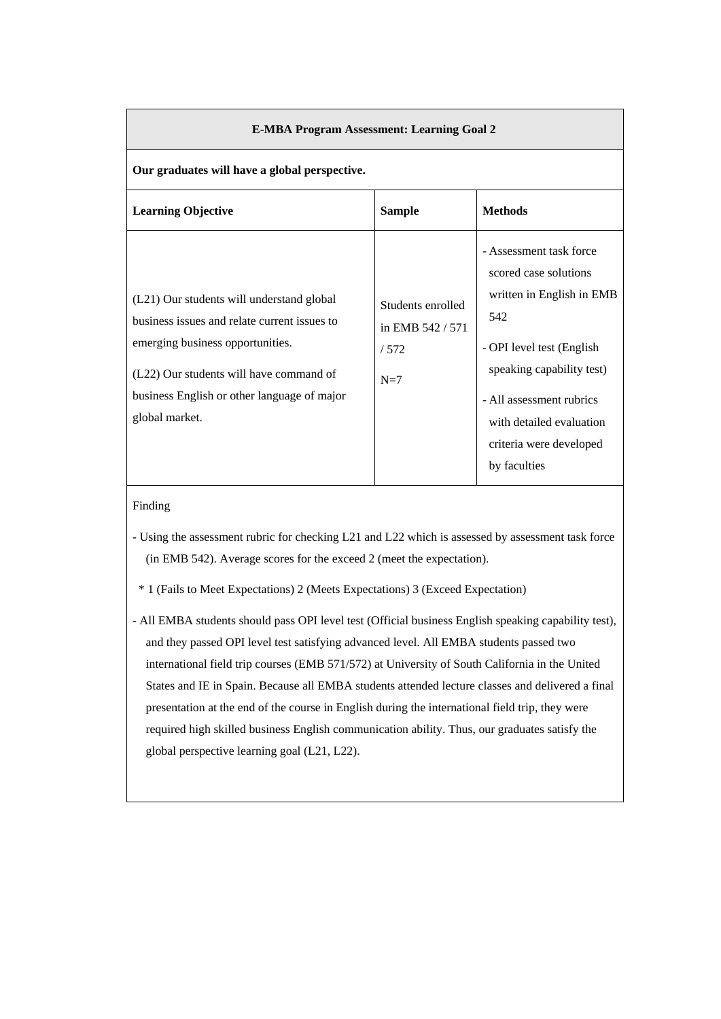| <b>E-MBA Program Assessment: Learning Goal 2</b>                                                                                                                                                                                          |                                                        |                                                                                                                                                                                                                                                   |  |  |  |  |  |  |  |
|-------------------------------------------------------------------------------------------------------------------------------------------------------------------------------------------------------------------------------------------|--------------------------------------------------------|---------------------------------------------------------------------------------------------------------------------------------------------------------------------------------------------------------------------------------------------------|--|--|--|--|--|--|--|
| Our graduates will have a global perspective.                                                                                                                                                                                             |                                                        |                                                                                                                                                                                                                                                   |  |  |  |  |  |  |  |
| <b>Learning Objective</b>                                                                                                                                                                                                                 | <b>Sample</b>                                          | <b>Methods</b>                                                                                                                                                                                                                                    |  |  |  |  |  |  |  |
| (L21) Our students will understand global<br>business issues and relate current issues to<br>emerging business opportunities.<br>(L22) Our students will have command of<br>business English or other language of major<br>global market. | Students enrolled<br>in EMB 542 / 571<br>/572<br>$N=7$ | - Assessment task force<br>scored case solutions<br>written in English in EMB<br>542<br>- OPI level test (English<br>speaking capability test)<br>- All assessment rubrics<br>with detailed evaluation<br>criteria were developed<br>by faculties |  |  |  |  |  |  |  |

#### Finding

- Using the assessment rubric for checking L21 and L22 which is assessed by assessment task force (in EMB 542). Average scores for the exceed 2 (meet the expectation).
- \* 1 (Fails to Meet Expectations) 2 (Meets Expectations) 3 (Exceed Expectation)

- All EMBA students should pass OPI level test (Official business English speaking capability test), and they passed OPI level test satisfying advanced level. All EMBA students passed two international field trip courses (EMB 571/572) at University of South California in the United States and IE in Spain. Because all EMBA students attended lecture classes and delivered a final presentation at the end of the course in English during the international field trip, they were required high skilled business English communication ability. Thus, our graduates satisfy the global perspective learning goal (L21, L22).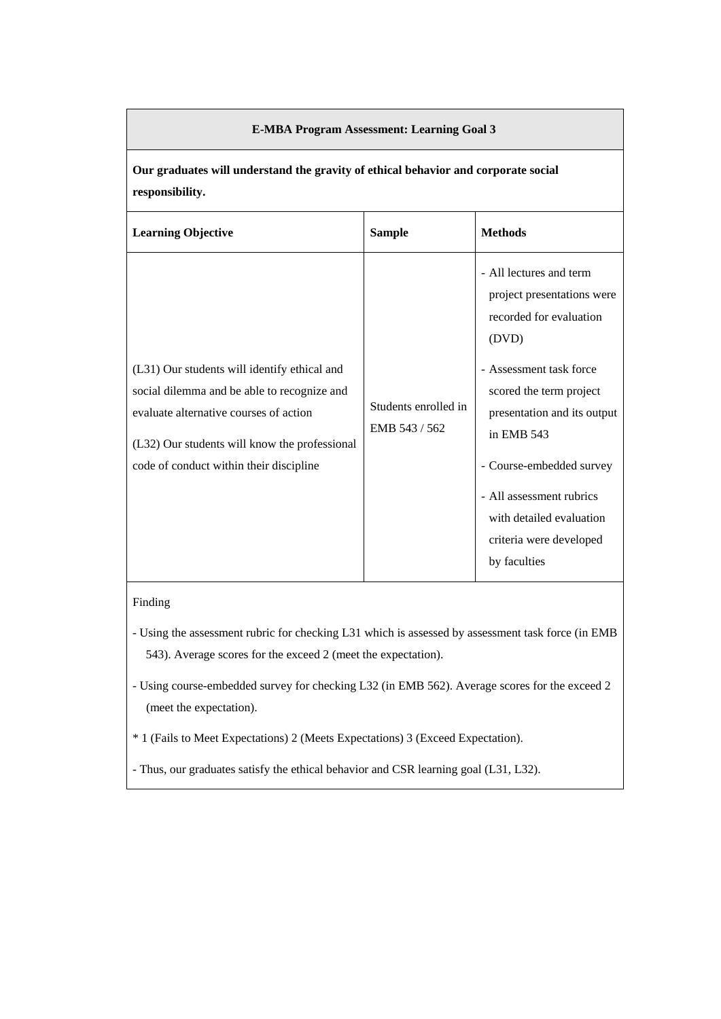#### **E-MBA Program Assessment: Learning Goal 3**

**Our graduates will understand the gravity of ethical behavior and corporate social responsibility.** 

| <b>Learning Objective</b>                                                                                                                                                                                                         | <b>Sample</b>                         | <b>Methods</b>                                                                                                                                                                                                                                                                                                              |
|-----------------------------------------------------------------------------------------------------------------------------------------------------------------------------------------------------------------------------------|---------------------------------------|-----------------------------------------------------------------------------------------------------------------------------------------------------------------------------------------------------------------------------------------------------------------------------------------------------------------------------|
| (L31) Our students will identify ethical and<br>social dilemma and be able to recognize and<br>evaluate alternative courses of action<br>(L32) Our students will know the professional<br>code of conduct within their discipline | Students enrolled in<br>EMB 543 / 562 | - All lectures and term<br>project presentations were<br>recorded for evaluation<br>(DVD)<br>- Assessment task force<br>scored the term project<br>presentation and its output<br>in EMB 543<br>- Course-embedded survey<br>- All assessment rubrics<br>with detailed evaluation<br>criteria were developed<br>by faculties |

#### Finding

- Using the assessment rubric for checking L31 which is assessed by assessment task force (in EMB 543). Average scores for the exceed 2 (meet the expectation).
- Using course-embedded survey for checking L32 (in EMB 562). Average scores for the exceed 2 (meet the expectation).
- \* 1 (Fails to Meet Expectations) 2 (Meets Expectations) 3 (Exceed Expectation).
- Thus, our graduates satisfy the ethical behavior and CSR learning goal (L31, L32).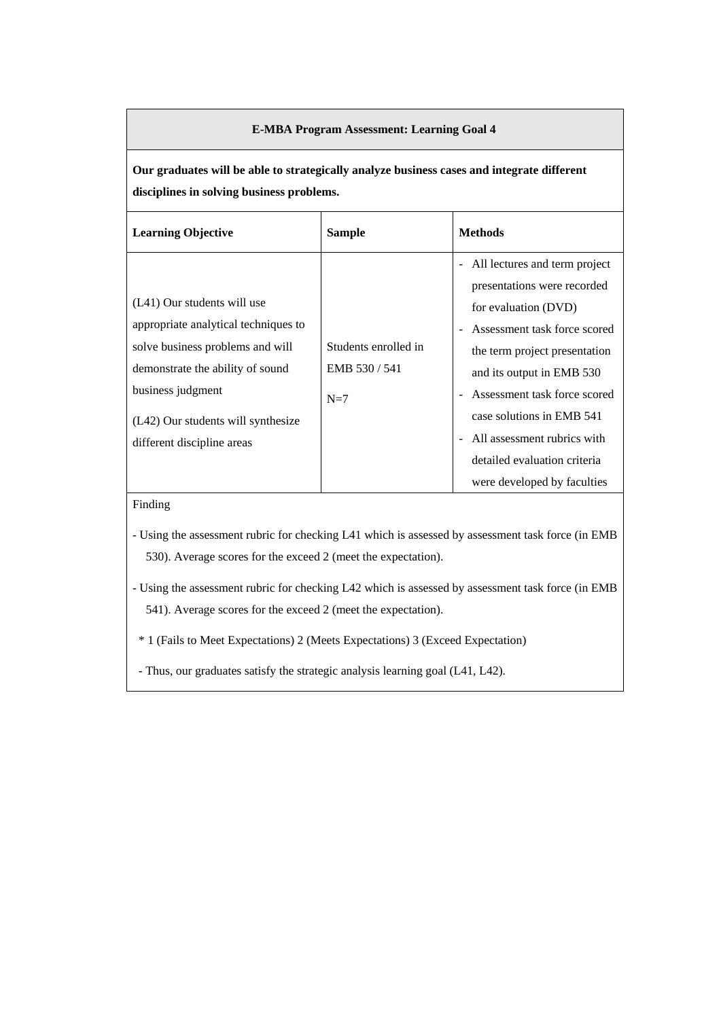#### **E-MBA Program Assessment: Learning Goal 4**

**Our graduates will be able to strategically analyze business cases and integrate different disciplines in solving business problems.** 

| <b>Learning Objective</b>                                            | <b>Sample</b>                       | <b>Methods</b>                                                    |
|----------------------------------------------------------------------|-------------------------------------|-------------------------------------------------------------------|
|                                                                      |                                     | All lectures and term project<br>-<br>presentations were recorded |
| $(L41)$ Our students will use                                        |                                     | for evaluation (DVD)                                              |
| appropriate analytical techniques to                                 |                                     | Assessment task force scored                                      |
| solve business problems and will<br>demonstrate the ability of sound | Students enrolled in<br>EMB 530/541 | the term project presentation                                     |
| business judgment                                                    |                                     | and its output in EMB 530<br>Assessment task force scored         |
| (L42) Our students will synthesize                                   | $N=7$                               | case solutions in EMB 541                                         |
| different discipline areas                                           |                                     | All assessment rubrics with<br>$\blacksquare$                     |
|                                                                      |                                     | detailed evaluation criteria                                      |
|                                                                      |                                     | were developed by faculties                                       |

### Finding

- Using the assessment rubric for checking L41 which is assessed by assessment task force (in EMB 530). Average scores for the exceed 2 (meet the expectation).

- Using the assessment rubric for checking L42 which is assessed by assessment task force (in EMB 541). Average scores for the exceed 2 (meet the expectation).

\* 1 (Fails to Meet Expectations) 2 (Meets Expectations) 3 (Exceed Expectation)

- Thus, our graduates satisfy the strategic analysis learning goal (L41, L42).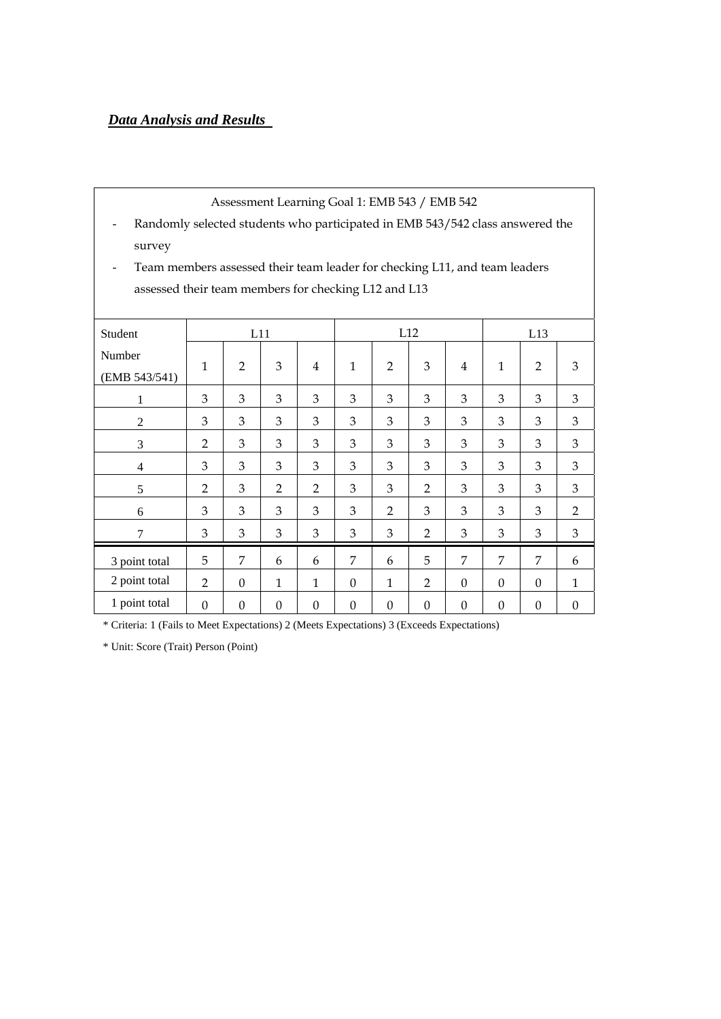# *Data Analysis and Results*

| Assessment Learning Goal 1: EMB 543 / EMB 542                                 |                |                |                  |                |                |                  |                |                |              |                |                  |
|-------------------------------------------------------------------------------|----------------|----------------|------------------|----------------|----------------|------------------|----------------|----------------|--------------|----------------|------------------|
| Randomly selected students who participated in EMB 543/542 class answered the |                |                |                  |                |                |                  |                |                |              |                |                  |
| survey                                                                        |                |                |                  |                |                |                  |                |                |              |                |                  |
| Team members assessed their team leader for checking L11, and team leaders    |                |                |                  |                |                |                  |                |                |              |                |                  |
| assessed their team members for checking L12 and L13                          |                |                |                  |                |                |                  |                |                |              |                |                  |
|                                                                               |                |                |                  |                |                |                  |                |                |              |                |                  |
| Student                                                                       |                | L11            |                  |                |                |                  | L12            |                |              | L13            |                  |
| Number                                                                        | $\mathbf{1}$   | $\overline{2}$ | 3                | 4              | $\mathbf{1}$   | $\overline{2}$   | 3              | 4              | $\mathbf{1}$ | $\overline{2}$ | 3                |
| (EMB 543/541)                                                                 |                |                |                  |                |                |                  |                |                |              |                |                  |
| 1                                                                             | 3              | 3              | 3                | 3              | 3              | 3                | 3              | 3              | 3            | 3              | 3                |
| 2                                                                             | 3              | 3              | 3                | 3              | 3              | 3                | 3              | 3              | 3            | 3              | 3                |
| 3                                                                             | $\overline{2}$ | 3              | 3                | 3              | 3              | 3                | 3              | 3              | 3            | 3              | 3                |
| $\overline{4}$                                                                | 3              | 3              | 3                | 3              | 3              | 3                | 3              | 3              | 3            | 3              | 3                |
| 5                                                                             | $\overline{2}$ | 3              | $\overline{2}$   | $\overline{2}$ | 3              | 3                | $\overline{2}$ | 3              | 3            | 3              | 3                |
| 6                                                                             | 3              | 3              | 3                | 3              | 3              | $\overline{2}$   | 3              | 3              | 3            | 3              | $\overline{2}$   |
| 7                                                                             | 3              | 3              | $\mathfrak{Z}$   | 3              | 3              | 3                | $\overline{2}$ | 3              | 3            | 3              | 3                |
| 3 point total                                                                 | 5              | 7              | 6                | 6              | $\overline{7}$ | 6                | 5              | $\overline{7}$ | 7            | 7              | 6                |
| 2 point total                                                                 | 2              | $\Omega$       | $\mathbf{1}$     | $\mathbf{1}$   | $\Omega$       | 1                | $\overline{2}$ | $\Omega$       | $\Omega$     | $\Omega$       | 1                |
| 1 point total                                                                 | $\Omega$       | $\Omega$       | $\boldsymbol{0}$ | $\Omega$       | $\Omega$       | $\boldsymbol{0}$ | $\Omega$       | $\Omega$       | $\Omega$     | $\Omega$       | $\boldsymbol{0}$ |

\* Criteria: 1 (Fails to Meet Expectations) 2 (Meets Expectations) 3 (Exceeds Expectations)

\* Unit: Score (Trait) Person (Point)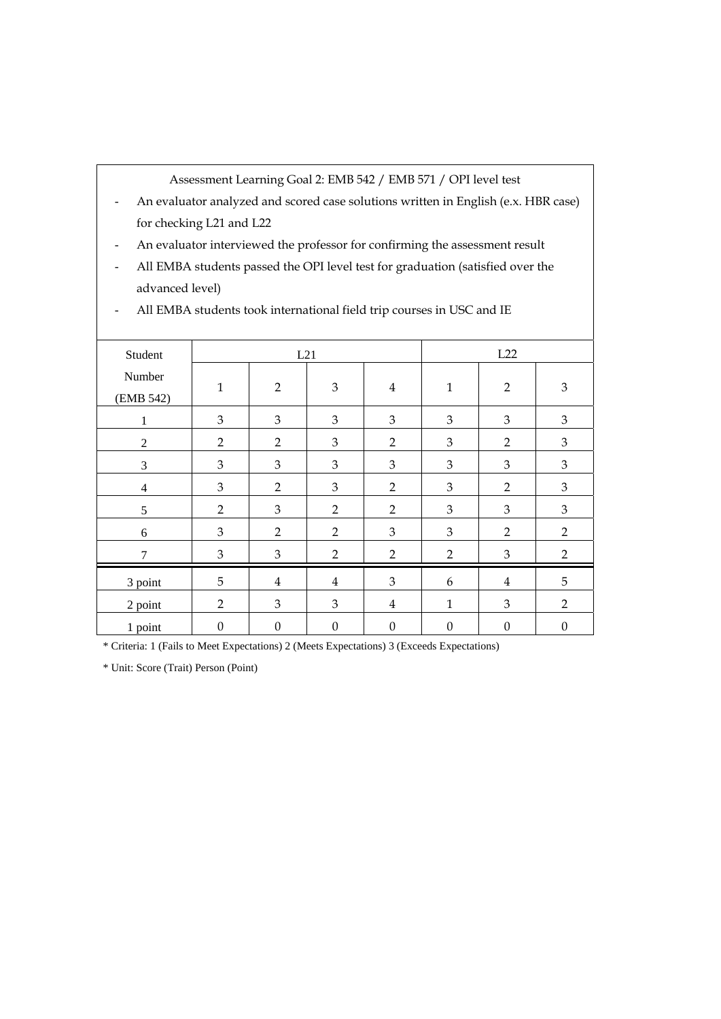Assessment Learning Goal 2: EMB 542 / EMB 571 / OPI level test

- An evaluator analyzed and scored case solutions written in English (e.x. HBR case) for checking L21 and L22
- An evaluator interviewed the professor for confirming the assessment result
- All EMBA students passed the OPI level test for graduation (satisfied over the advanced level)

| Student             |                  | L21              |                  | L22              |                  |                  |                  |
|---------------------|------------------|------------------|------------------|------------------|------------------|------------------|------------------|
| Number<br>(EMB 542) | $\mathbf{1}$     | $\overline{2}$   | $\mathfrak{Z}$   | $\overline{4}$   | $\mathbf{1}$     | $\overline{2}$   | $\mathfrak{Z}$   |
| 1                   | $\mathfrak{Z}$   | 3                | 3                | 3                | 3                | 3                | $\mathfrak{Z}$   |
| $\overline{2}$      | $\overline{2}$   | $\overline{2}$   | 3                | $\overline{2}$   | 3                | $\overline{2}$   | 3                |
| 3                   | $\mathfrak{Z}$   | 3                | 3                | 3                | 3                | 3                | $\mathfrak{Z}$   |
| $\overline{4}$      | $\mathfrak{Z}$   | $\overline{2}$   | 3                | $\overline{2}$   | $\mathfrak{Z}$   | $\overline{2}$   | $\mathfrak{Z}$   |
| 5                   | 2                | 3                | $\overline{2}$   | $\overline{2}$   | 3                | 3                | 3                |
| 6                   | 3                | $\overline{2}$   | $\overline{2}$   | 3                | 3                | $\overline{2}$   | $\overline{2}$   |
| 7                   | $\mathfrak{Z}$   | $\mathfrak{B}$   | $\overline{2}$   | $\overline{2}$   | $\overline{2}$   | 3                | $\overline{2}$   |
| 3 point             | 5                | $\overline{4}$   | $\overline{4}$   | 3                | 6                | $\overline{4}$   | 5                |
| 2 point             | $\overline{2}$   | 3                | 3                | $\bf 4$          | $\mathbf{1}$     | 3                | $\overline{2}$   |
| 1 point             | $\boldsymbol{0}$ | $\boldsymbol{0}$ | $\boldsymbol{0}$ | $\boldsymbol{0}$ | $\boldsymbol{0}$ | $\boldsymbol{0}$ | $\boldsymbol{0}$ |

- All EMBA students took international field trip courses in USC and IE

\* Criteria: 1 (Fails to Meet Expectations) 2 (Meets Expectations) 3 (Exceeds Expectations)

\* Unit: Score (Trait) Person (Point)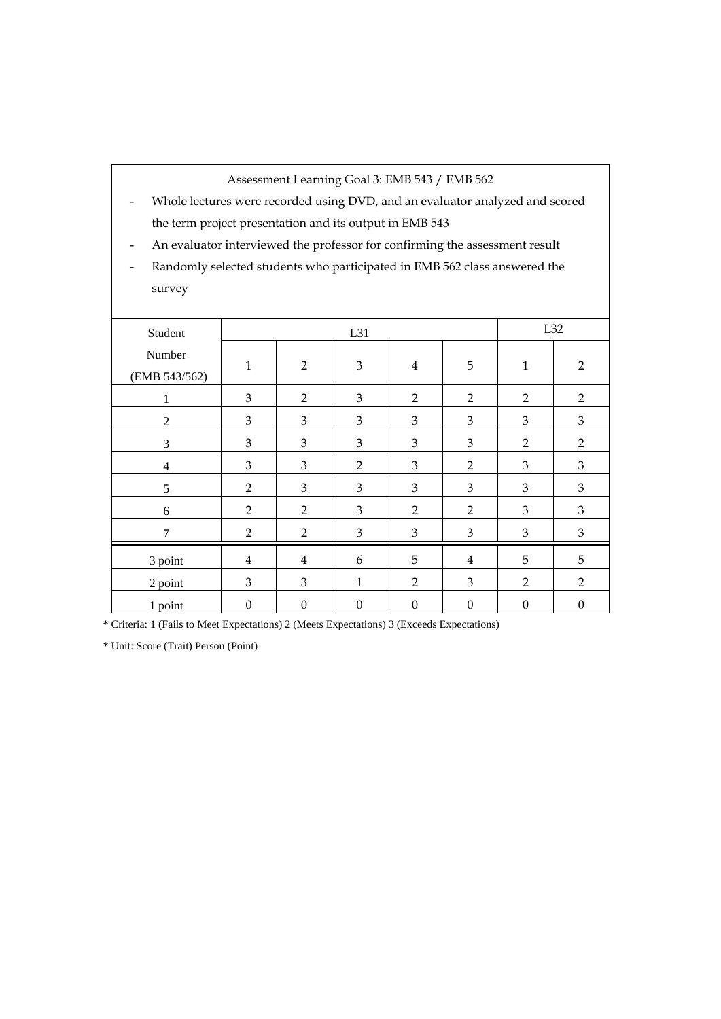Assessment Learning Goal 3: EMB 543 / EMB 562

- Whole lectures were recorded using DVD, and an evaluator analyzed and scored the term project presentation and its output in EMB 543
- An evaluator interviewed the professor for confirming the assessment result
- Randomly selected students who participated in EMB 562 class answered the survey

| Student                 |                  |                  | L32              |                  |                  |                  |                  |
|-------------------------|------------------|------------------|------------------|------------------|------------------|------------------|------------------|
| Number<br>(EMB 543/562) | $\mathbf{1}$     | $\overline{2}$   | $\mathfrak{Z}$   | $\overline{4}$   | 5                | $\mathbf{1}$     | $\overline{2}$   |
| 1                       | $\mathfrak{Z}$   | $\overline{2}$   | $\mathfrak{Z}$   | $\overline{2}$   | $\overline{2}$   | $\overline{2}$   | $\overline{2}$   |
| $\mathbf{2}$            | 3                | 3                | 3                | 3                | 3                | $\mathfrak{Z}$   | 3                |
| 3                       | 3                | 3                | 3                | 3                | 3                | $\overline{2}$   | $\overline{2}$   |
| $\overline{4}$          | 3                | 3                | $\overline{2}$   | 3                | $\overline{2}$   | 3                | $\mathfrak{Z}$   |
| 5                       | $\overline{2}$   | 3                | 3                | 3                | 3                | $\mathfrak{Z}$   | $\mathfrak{Z}$   |
| 6                       | $\overline{2}$   | $\overline{2}$   | 3                | $\overline{2}$   | $\overline{2}$   | $\mathfrak{Z}$   | $\mathfrak{Z}$   |
| $\tau$                  | $\overline{2}$   | $\overline{2}$   | $\mathfrak{Z}$   | $\mathfrak{Z}$   | 3                | $\mathfrak{Z}$   | $\mathfrak{Z}$   |
| 3 point                 | $\overline{4}$   | 4                | 6                | 5                | 4                | 5                | 5                |
| 2 point                 | $\mathfrak{B}$   | 3                | $\mathbf{1}$     | $\overline{2}$   | $\mathfrak{B}$   | $\overline{2}$   | $\overline{2}$   |
| 1 point                 | $\boldsymbol{0}$ | $\boldsymbol{0}$ | $\boldsymbol{0}$ | $\boldsymbol{0}$ | $\boldsymbol{0}$ | $\boldsymbol{0}$ | $\boldsymbol{0}$ |

\* Criteria: 1 (Fails to Meet Expectations) 2 (Meets Expectations) 3 (Exceeds Expectations)

\* Unit: Score (Trait) Person (Point)